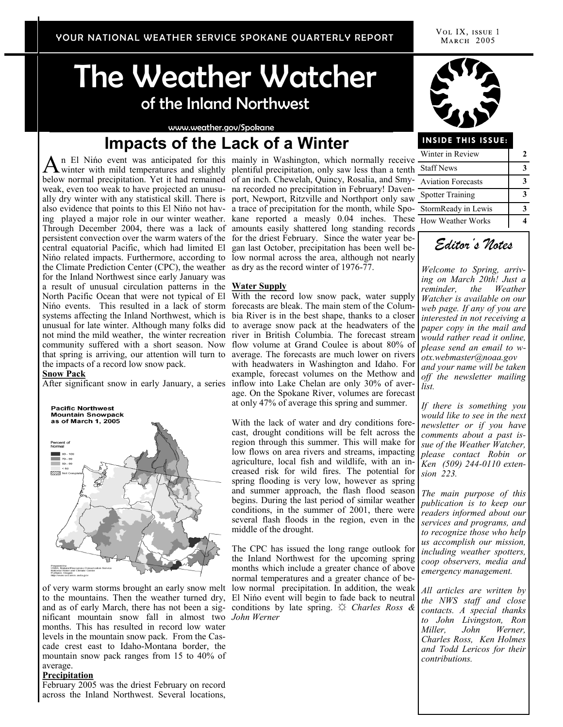VOL IX, ISSUE 1 MARCH 2005

# The Weather Watcher of the Inland Northwest

#### www.weather.gov/Spokane

# **Impacts of the Lack of a Winter**

An El Niño event was anticipated for this<br>winter with mild temperatures and slightly winter with mild temperatures and slightly below normal precipitation. Yet it had remained of an inch. Chewelah, Quincy, Rosalia, and Smyweak, even too weak to have projected an unusu-na recorded no precipitation in February! Davenalso evidence that points to this El Nińo not hav-a trace of precipitation for the month, while Spopersistent convection over the warm waters of the for the driest February. Since the water year becentral equatorial Pacific, which had limited El Nińo related impacts. Furthermore, according to the Climate Prediction Center (CPC), the weather for the Inland Northwest since early January was a result of unusual circulation patterns in the North Pacific Ocean that were not typical of El Nińo events. This resulted in a lack of storm forecasts are bleak. The main stem of the Columsystems affecting the Inland Northwest, which is unusual for late winter. Although many folks did not mind the mild weather, the winter recreation river in British Columbia. The forecast stream community suffered with a short season. Now flow volume at Grand Coulee is about 80% of that spring is arriving, our attention will turn to average. The forecasts are much lower on rivers the impacts of a record low snow pack.

#### **Snow Pack**



of very warm storms brought an early snow melt to the mountains. Then the weather turned dry, nificant mountain snow fall in almost two *John Werner* months. This has resulted in record low water levels in the mountain snow pack. From the Cascade crest east to Idaho-Montana border, the mountain snow pack ranges from 15 to 40% of average.

#### **Precipitation**

February 2005 was the driest February on record across the Inland Northwest. Several locations,

ally dry winter with any statistical skill. There is port, Newport, Ritzville and Northport only saw ing played a major role in our winter weather. kane reported a measly 0.04 inches. These Through December 2004, there was a lack of amounts easily shattered long standing records mainly in Washington, which normally receive plentiful precipitation, only saw less than a tenth gan last October, precipitation has been well below normal across the area, although not nearly as dry as the record winter of 1976-77.

#### **Water Supply**

After significant snow in early January, a series inflow into Lake Chelan are only 30% of aver-With the record low snow pack, water supply bia River is in the best shape, thanks to a closer to average snow pack at the headwaters of the with headwaters in Washington and Idaho. For example, forecast volumes on the Methow and age. On the Spokane River, volumes are forecast at only 47% of average this spring and summer.

> With the lack of water and dry conditions forecast, drought conditions will be felt across the region through this summer. This will make for low flows on area rivers and streams, impacting agriculture, local fish and wildlife, with an increased risk for wild fires. The potential for spring flooding is very low, however as spring and summer approach, the flash flood season begins. During the last period of similar weather conditions, in the summer of 2001, there were several flash floods in the region, even in the middle of the drought.

and as of early March, there has not been a sig- conditions by late spring.  $\sharp$  *Charles Ross &* The CPC has issued the long range outlook for the Inland Northwest for the upcoming spring months which include a greater chance of above normal temperatures and a greater chance of below normal precipitation. In addition, the weak El Nińo event will begin to fade back to neutral



#### **INSIDE THIS ISSUE:**

| Winter in Review          |  |
|---------------------------|--|
| <b>Staff News</b>         |  |
| <b>Aviation Forecasts</b> |  |
| <b>Spotter Training</b>   |  |
| StormReady in Lewis       |  |
| ,<br>How Weather Works    |  |



*Welcome to Spring, arriving on March 20th! Just a reminder, the Weather Watcher is available on our web page. If any of you are interested in not receiving a paper copy in the mail and would rather read it online, please send an email to wotx.webmaster@noaa.gov and your name will be taken off the newsletter mailing list.* 

*If there is something you would like to see in the next newsletter or if you have comments about a past issue of the Weather Watcher, please contact Robin or Ken (509) 244-0110 extension 223.* 

*The main purpose of this publication is to keep our readers informed about our services and programs, and to recognize those who help us accomplish our mission, including weather spotters, coop observers, media and emergency management.* 

*All articles are written by the NWS staff and close contacts. A special thanks to John Livingston, Ron Miller, John Werner, Charles Ross, Ken Holmes and Todd Lericos for their contributions.*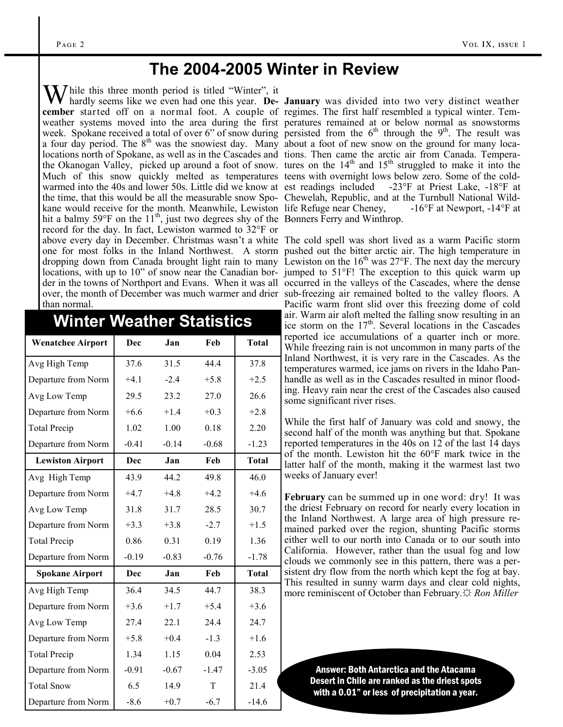### **The 2004-2005 Winter in Review**

 $\mathbf{W}$  hile this three month period is titled "Winter", it cember started off on a normal foot. A couple of regimes. The first half resembled a typical winter. Tema four day period. The  $8<sup>th</sup>$  was the snowiest day. Many about a foot of new snow on the ground for many localocations north of Spokane, as well as in the Cascades and the Okanogan Valley, picked up around a foot of snow. Much of this snow quickly melted as temperatures teens with overnight lows below zero. Some of the coldwarmed into the 40s and lower 50s. Little did we know at est readings included the time, that this would be all the measurable snow Spo-Chewelah, Republic, and at the Turnbull National Wildkane would receive for the month. Meanwhile, Lewiston life Refuge near Cheney, hit a balmy 59°F on the  $11<sup>th</sup>$ , just two degrees shy of the Bonners Ferry and Winthrop. record for the day. In fact, Lewiston warmed to 32°F or above every day in December. Christmas wasn't a white The cold spell was short lived as a warm Pacific storm than normal.

### **Winter Weather Statistics**

| <b>Wenatchee Airport</b> | Dec        | Jan     | Feb     | <b>Total</b> |
|--------------------------|------------|---------|---------|--------------|
| Avg High Temp            | 37.6       | 31.5    | 44.4    | 37.8         |
| Departure from Norm      | $+4.1$     | $-2.4$  | $+5.8$  | $+2.5$       |
| Avg Low Temp             | 29.5       | 23.2    | 27.0    | 26.6         |
| Departure from Norm      | $+6.6$     | $+1.4$  | $+0.3$  | $+2.8$       |
| <b>Total Precip</b>      | 1.02       | 1.00    | 0.18    | 2.20         |
| Departure from Norm      | $-0.41$    | $-0.14$ | $-0.68$ | $-1.23$      |
| <b>Lewiston Airport</b>  | Dec        | Jan     | Feb     | <b>Total</b> |
| Avg High Temp            | 43.9       | 44.2    | 49.8    | 46.0         |
| Departure from Norm      | $+4.7$     | $+4.8$  | $+4.2$  | $+4.6$       |
| Avg Low Temp             | 31.8       | 31.7    | 28.5    | 30.7         |
| Departure from Norm      | $+3.3$     | $+3.8$  | $-2.7$  | $+1.5$       |
| <b>Total Precip</b>      | 0.86       | 0.31    | 0.19    | 1.36         |
| Departure from Norm      | $-0.19$    | $-0.83$ | $-0.76$ | $-1.78$      |
| <b>Spokane Airport</b>   | <b>Dec</b> | Jan     | Feb     | <b>Total</b> |
| Avg High Temp            | 36.4       | 34.5    | 44.7    | 38.3         |
| Departure from Norm      | $+3.6$     | $+1.7$  | $+5.4$  | $+3.6$       |
| Avg Low Temp             | 27.4       | 22.1    | 24.4    | 24.7         |
| Departure from Norm      | $+5.8$     | $+0.4$  | $-1.3$  | $+1.6$       |
| <b>Total Precip</b>      | 1.34       | 1.15    | 0.04    | 2.53         |
| Departure from Norm      | $-0.91$    | $-0.67$ | $-1.47$ | $-3.05$      |
| <b>Total Snow</b>        | 6.5        | 14.9    | T       | 21.4         |
| Departure from Norm      | $-8.6$     | $+0.7$  | $-6.7$  | $-14.6$      |

hardly seems like we even had one this year. **De-January** was divided into two very distinct weather weather systems moved into the area during the first peratures remained at or below normal as snowstorms week. Spokane received a total of over 6" of snow during persisted from the  $6<sup>th</sup>$  through the 9<sup>th</sup>. The result was tions. Then came the arctic air from Canada. Temperatures on the  $14<sup>th</sup>$  and  $15<sup>th</sup>$  struggled to make it into the -23°F at Priest Lake,  $-18$ °F at -16°F at Newport, -14°F at

one for most folks in the Inland Northwest. A storm pushed out the bitter arctic air. The high temperature in dropping down from Canada brought light rain to many Lewiston on the 16<sup>th</sup> was 27°F. The next day the mercury locations, with up to 10" of snow near the Canadian bor- jumped to 51°F! The exception to this quick warm up der in the towns of Northport and Evans. When it was all occurred in the valleys of the Cascades, where the dense over, the month of December was much warmer and drier sub-freezing air remained bolted to the valley floors. A Pacific warm front slid over this freezing dome of cold air. Warm air aloft melted the falling snow resulting in an ice storm on the  $17<sup>th</sup>$ . Several locations in the Cascades reported ice accumulations of a quarter inch or more. While freezing rain is not uncommon in many parts of the Inland Northwest, it is very rare in the Cascades. As the temperatures warmed, ice jams on rivers in the Idaho Panhandle as well as in the Cascades resulted in minor flooding. Heavy rain near the crest of the Cascades also caused some significant river rises.

> While the first half of January was cold and snowy, the second half of the month was anything but that. Spokane reported temperatures in the 40s on 12 of the last 14 days of the month. Lewiston hit the 60°F mark twice in the latter half of the month, making it the warmest last two weeks of January ever!

> **February** can be summed up in one word: dry! It was the driest February on record for nearly every location in the Inland Northwest. A large area of high pressure remained parked over the region, shunting Pacific storms either well to our north into Canada or to our south into California. However, rather than the usual fog and low clouds we commonly see in this pattern, there was a persistent dry flow from the north which kept the fog at bay. This resulted in sunny warm days and clear cold nights, more reminiscent of October than February.*☆ Ron Miller*

> > Answer: Both Antarctica and the Atacama Desert in Chile are ranked as the driest spots with a 0.01" or less of precipitation a year.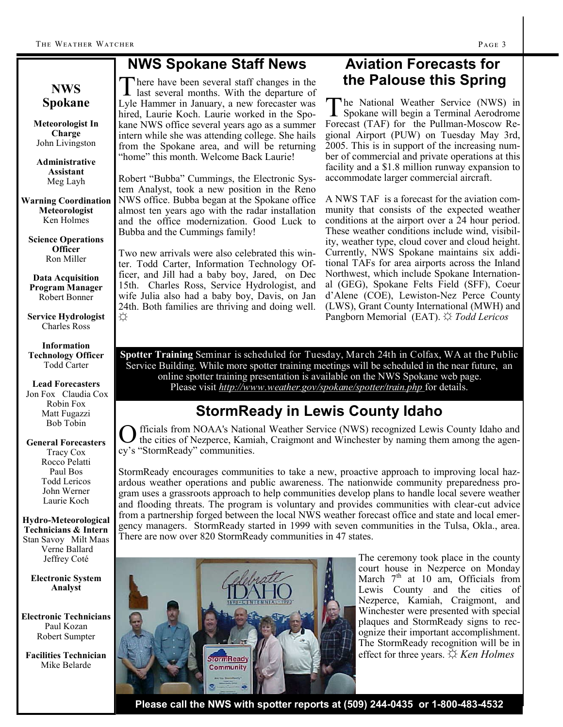### **NWS Spokane Staff News**

**NWS Spokane** 

**Meteorologist In Charge** John Livingston

**Administrative Assistant** Meg Layh

**Warning Coordination Meteorologist** Ken Holmes

**Science Operations Officer** Ron Miller

**Data Acquisition Program Manager** Robert Bonner

**Service Hydrologist** Charles Ross

**Information Technology Officer** Todd Carter

**Lead Forecasters** Jon Fox Claudia Cox Robin Fox Matt Fugazzi Bob Tobin

#### **General Forecasters** Tracy Cox Rocco Pelatti Paul Bos Todd Lericos

John Werner Laurie Koch

**Hydro-Meteorological Technicians & Intern** Stan Savoy Milt Maas Verne Ballard Jeffrey Coté

**Electronic System Analyst**

**Electronic Technicians** Paul Kozan Robert Sumpter

**Facilities Technician** Mike Belarde

There have been several staff changes in the<br>last several months. With the departure of last several months. With the departure of Lyle Hammer in January, a new forecaster was hired, Laurie Koch. Laurie worked in the Spokane NWS office several years ago as a summer intern while she was attending college. She hails from the Spokane area, and will be returning "home" this month. Welcome Back Laurie!

Robert "Bubba" Cummings, the Electronic System Analyst, took a new position in the Reno NWS office. Bubba began at the Spokane office almost ten years ago with the radar installation and the office modernization. Good Luck to Bubba and the Cummings family!

Two new arrivals were also celebrated this winter. Todd Carter, Information Technology Officer, and Jill had a baby boy, Jared, on Dec 15th. Charles Ross, Service Hydrologist, and wife Julia also had a baby boy, Davis, on Jan 24th. Both families are thriving and doing well. ☼

### **Aviation Forecasts for the Palouse this Spring**

The National Weather Service (NWS) in<br>Spokane will begin a Terminal Aerodrome Spokane will begin a Terminal Aerodrome Forecast (TAF) for the Pullman-Moscow Regional Airport (PUW) on Tuesday May 3rd, 2005. This is in support of the increasing number of commercial and private operations at this facility and a \$1.8 million runway expansion to accommodate larger commercial aircraft.

A NWS TAF is a forecast for the aviation community that consists of the expected weather conditions at the airport over a 24 hour period. These weather conditions include wind, visibility, weather type, cloud cover and cloud height. Currently, NWS Spokane maintains six additional TAFs for area airports across the Inland Northwest, which include Spokane International (GEG), Spokane Felts Field (SFF), Coeur d'Alene (COE), Lewiston-Nez Perce County (LWS), Grant County International (MWH) and Pangborn Memorial (EAT). ☼ *Todd Lericos*

**Spotter Training** Seminar is scheduled for Tuesday, March 24th in Colfax, WA at the Public Service Building. While more spotter training meetings will be scheduled in the near future, an online spotter training presentation is available on the NWS Spokane web page. Please visit *http://www.weather.gov/spokane/spotter/train.php* for details.

## **StormReady in Lewis County Idaho**

O the cities of Nezperce, Kamiah, Craigmont and Winchester by naming them among the agenfficials from NOAA's National Weather Service (NWS) recognized Lewis County Idaho and cy's "StormReady" communities.

StormReady encourages communities to take a new, proactive approach to improving local hazardous weather operations and public awareness. The nationwide community preparedness program uses a grassroots approach to help communities develop plans to handle local severe weather and flooding threats. The program is voluntary and provides communities with clear-cut advice from a partnership forged between the local NWS weather forecast office and state and local emergency managers. StormReady started in 1999 with seven communities in the Tulsa, Okla., area. There are now over 820 StormReady communities in 47 states.



The ceremony took place in the county court house in Nezperce on Monday March  $7<sup>th</sup>$  at 10 am, Officials from Lewis County and the cities of Nezperce, Kamiah, Craigmont, and Winchester were presented with special plaques and StormReady signs to recognize their important accomplishment. The StormReady recognition will be in effect for three years. ☼ *Ken Holmes*